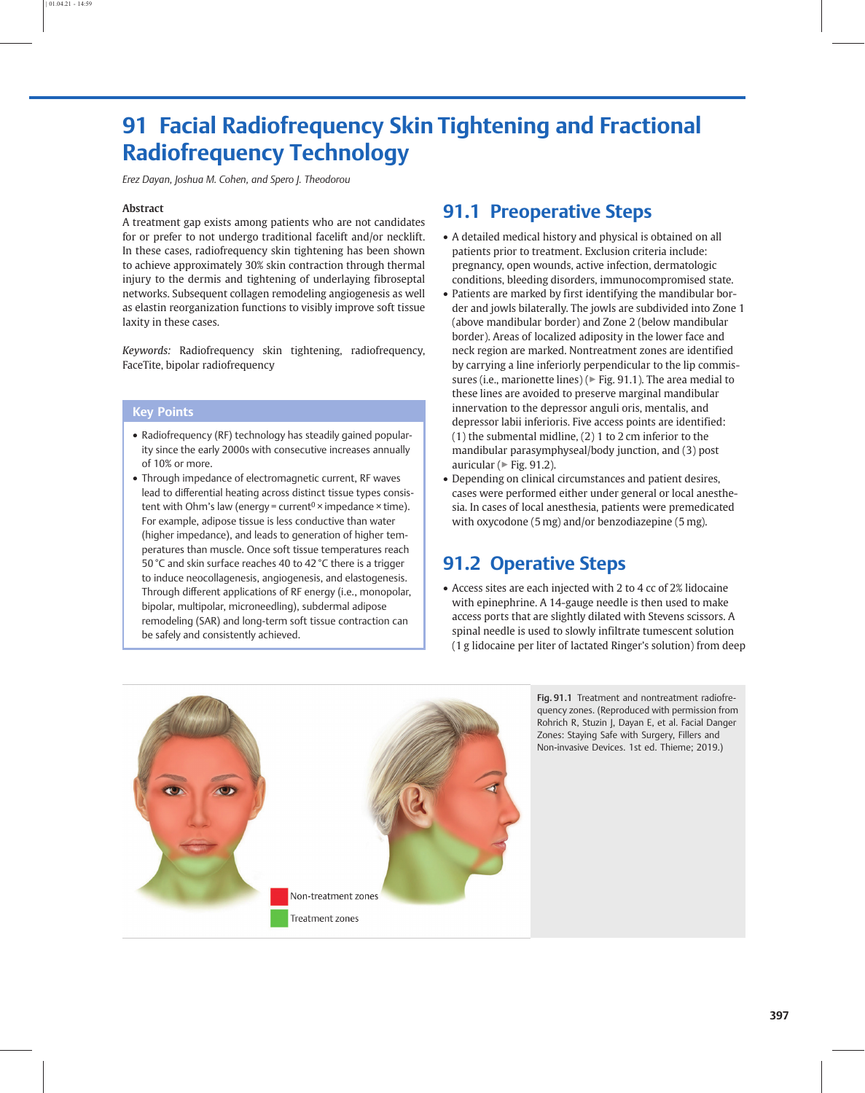# 91 Facial Radiofrequency Skin Tightening and Fractional Radiofrequency Technology

Erez Dayan, Joshua M. Cohen, and Spero J. Theodorou

#### Abstract

A treatment gap exists among patients who are not candidates for or prefer to not undergo traditional facelift and/or necklift. In these cases, radiofrequency skin tightening has been shown to achieve approximately 30% skin contraction through thermal injury to the dermis and tightening of underlaying fibroseptal networks. Subsequent collagen remodeling angiogenesis as well as elastin reorganization functions to visibly improve soft tissue laxity in these cases.

Keywords: Radiofrequency skin tightening, radiofrequency, FaceTite, bipolar radiofrequency

#### Key Points

- Radiofrequency (RF) technology has steadily gained popularity since the early 2000s with consecutive increases annually of 10% or more.
- Through impedance of electromagnetic current, RF waves lead to differential heating across distinct tissue types consistent with Ohm's law (energy = current<sup>0</sup> × impedance × time). For example, adipose tissue is less conductive than water (higher impedance), and leads to generation of higher temperatures than muscle. Once soft tissue temperatures reach 50 °C and skin surface reaches 40 to 42 °C there is a trigger to induce neocollagenesis, angiogenesis, and elastogenesis. Through different applications of RF energy (i.e., monopolar, bipolar, multipolar, microneedling), subdermal adipose remodeling (SAR) and long-term soft tissue contraction can be safely and consistently achieved.

### 91.1 Preoperative Steps

- A detailed medical history and physical is obtained on all patients prior to treatment. Exclusion criteria include: pregnancy, open wounds, active infection, dermatologic conditions, bleeding disorders, immunocompromised state.
- Patients are marked by first identifying the mandibular border and jowls bilaterally. The jowls are subdivided into Zone 1 (above mandibular border) and Zone 2 (below mandibular border). Areas of localized adiposity in the lower face and neck region are marked. Nontreatment zones are identified by carrying a line inferiorly perpendicular to the lip commissures (i.e., marionette lines) ( $\triangleright$  Fig. 91.1). The area medial to these lines are avoided to preserve marginal mandibular innervation to the depressor anguli oris, mentalis, and depressor labii inferioris. Five access points are identified: (1) the submental midline, (2) 1 to 2 cm inferior to the mandibular parasymphyseal/body junction, and (3) post auricular ( $\triangleright$  [Fig. 91.2\)](#page-1-0).
- Depending on clinical circumstances and patient desires, cases were performed either under general or local anesthesia. In cases of local anesthesia, patients were premedicated with oxycodone (5 mg) and/or benzodiazepine (5 mg).

### 91.2 Operative Steps

• Access sites are each injected with 2 to 4 cc of 2% lidocaine with epinephrine. A 14-gauge needle is then used to make access ports that are slightly dilated with Stevens scissors. A spinal needle is used to slowly infiltrate tumescent solution (1 g lidocaine per liter of lactated Ringer's solution) from deep



Fig. 91.1 Treatment and nontreatment radiofrequency zones. (Reproduced with permission from Rohrich R, Stuzin J, Dayan E, et al. Facial Danger Zones: Staying Safe with Surgery, Fillers and Non-invasive Devices. 1st ed. Thieme; 2019.)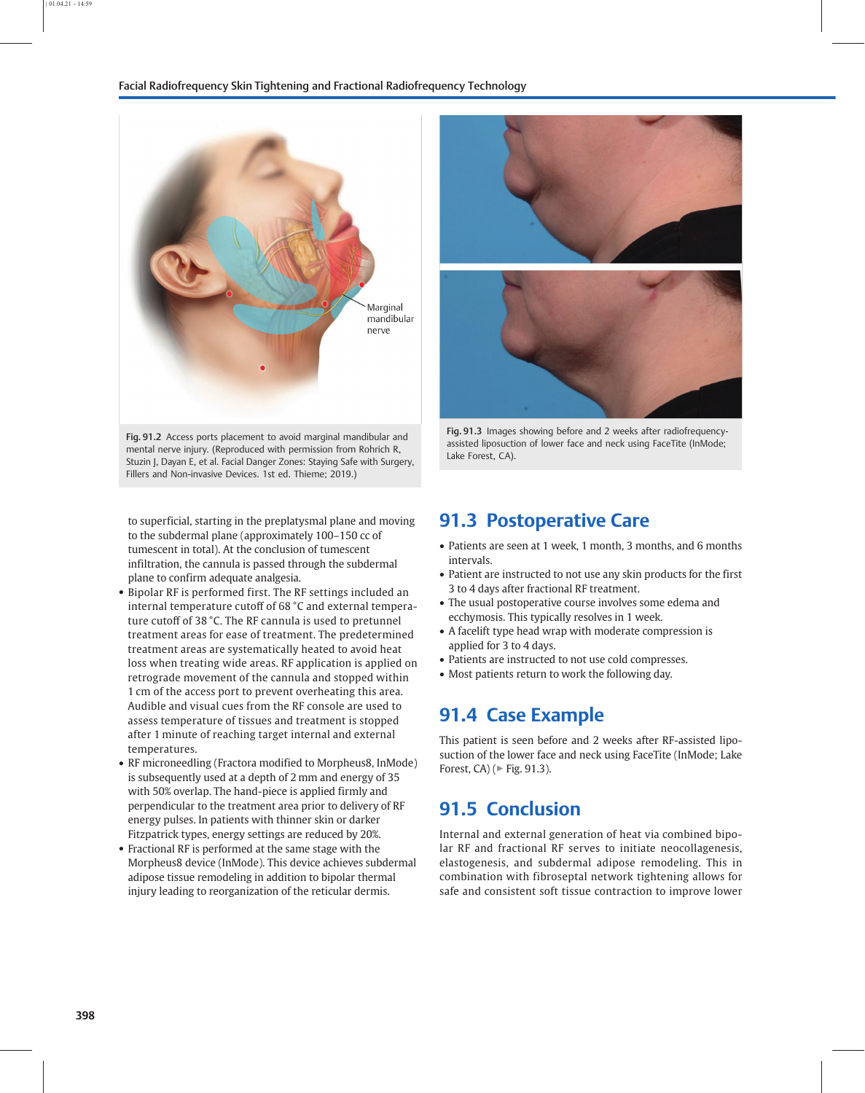#### <span id="page-1-0"></span>Facial Radiofrequency Skin Tightening and Fractional Radiofrequency Technology



Fig. 91.2 Access ports placement to avoid marginal mandibular and mental nerve injury. (Reproduced with permission from Rohrich R, Stuzin J, Dayan E, et al. Facial Danger Zones: Staying Safe with Surgery, Fillers and Non-invasive Devices. 1st ed. Thieme; 2019.)

to superficial, starting in the preplatysmal plane and moving to the subdermal plane (approximately 100–150 cc of tumescent in total). At the conclusion of tumescent infiltration, the cannula is passed through the subdermal plane to confirm adequate analgesia.

- Bipolar RF is performed first. The RF settings included an internal temperature cutoff of 68 °C and external temperature cutoff of 38 °C. The RF cannula is used to pretunnel treatment areas for ease of treatment. The predetermined treatment areas are systematically heated to avoid heat loss when treating wide areas. RF application is applied on retrograde movement of the cannula and stopped within 1 cm of the access port to prevent overheating this area. Audible and visual cues from the RF console are used to assess temperature of tissues and treatment is stopped after 1 minute of reaching target internal and external temperatures.
- RF microneedling (Fractora modified to Morpheus8, InMode) is subsequently used at a depth of 2 mm and energy of 35 with 50% overlap. The hand-piece is applied firmly and perpendicular to the treatment area prior to delivery of RF energy pulses. In patients with thinner skin or darker Fitzpatrick types, energy settings are reduced by 20%.
- Fractional RF is performed at the same stage with the Morpheus8 device (InMode). This device achieves subdermal adipose tissue remodeling in addition to bipolar thermal injury leading to reorganization of the reticular dermis.





Fig. 91.3 Images showing before and 2 weeks after radiofrequencyassisted liposuction of lower face and neck using FaceTite (InMode; Lake Forest, CA).

### 91.3 Postoperative Care

- Patients are seen at 1 week, 1 month, 3 months, and 6 months intervals.
- Patient are instructed to not use any skin products for the first 3 to 4 days after fractional RF treatment.
- The usual postoperative course involves some edema and ecchymosis. This typically resolves in 1 week.
- A facelift type head wrap with moderate compression is applied for 3 to 4 days.
- Patients are instructed to not use cold compresses.
- Most patients return to work the following day.

### 91.4 Case Example

This patient is seen before and 2 weeks after RF-assisted liposuction of the lower face and neck using FaceTite (InMode; Lake Forest, CA) ( $\triangleright$  Fig. 91.3).

### 91.5 Conclusion

Internal and external generation of heat via combined bipolar RF and fractional RF serves to initiate neocollagenesis, elastogenesis, and subdermal adipose remodeling. This in combination with fibroseptal network tightening allows for safe and consistent soft tissue contraction to improve lower